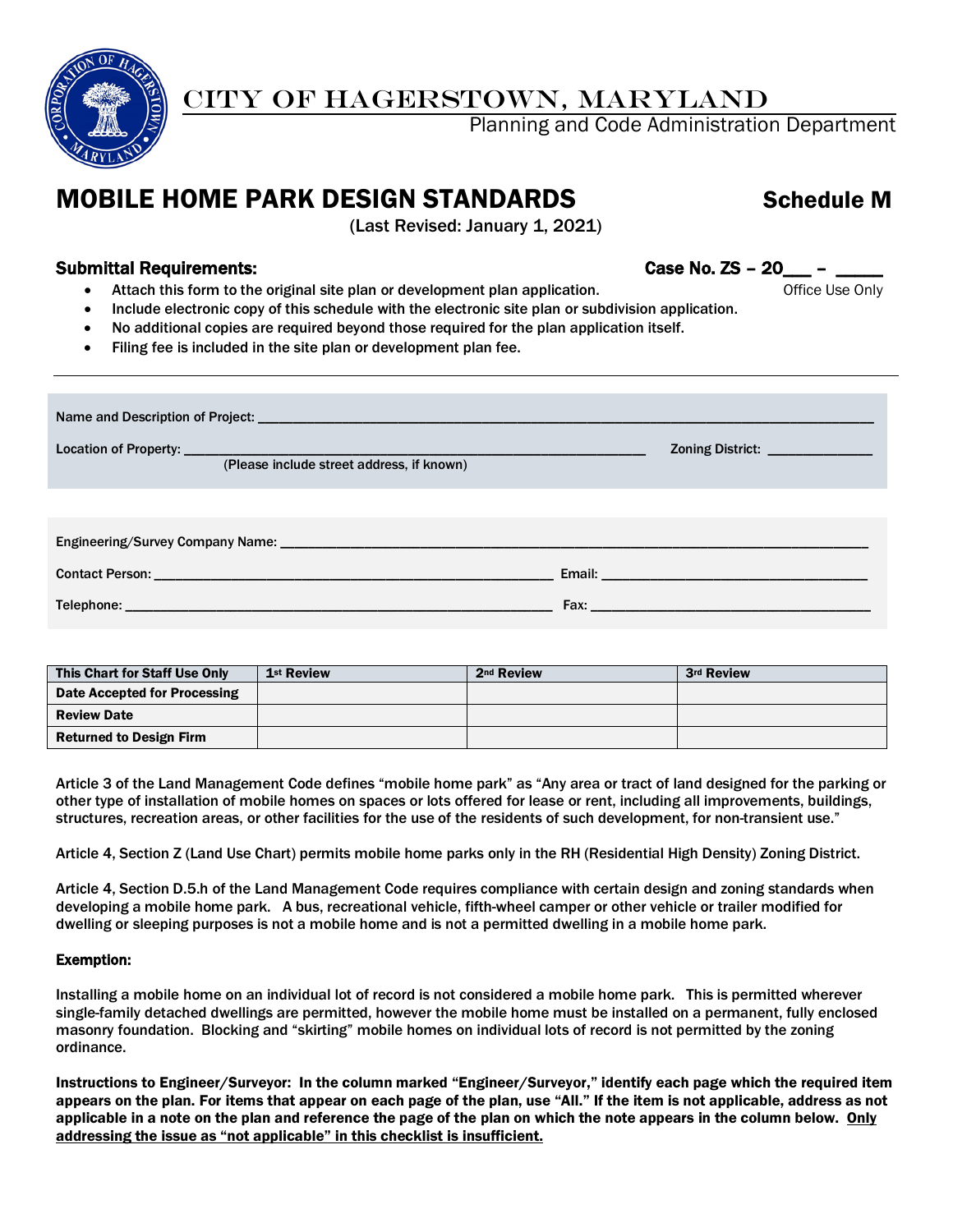

## CITY OF HAGERSTOWN, MARYLAND

Planning and Code Administration Department

## MOBILE HOME PARK DESIGN STANDARDS Schedule M

(Last Revised: January 1, 2021)

## Submittal Requirements: Case No. ZS – 20\_\_\_ – \_\_\_\_\_

- Attach this form to the original site plan or development plan application. The manner of fice Use Only
- Include electronic copy of this schedule with the electronic site plan or subdivision application.
- No additional copies are required beyond those required for the plan application itself.
- Filing fee is included in the site plan or development plan fee.

| Zoning District: _______________          |                                                                                                               |  |  |  |  |  |  |  |
|-------------------------------------------|---------------------------------------------------------------------------------------------------------------|--|--|--|--|--|--|--|
| (Please include street address, if known) |                                                                                                               |  |  |  |  |  |  |  |
|                                           |                                                                                                               |  |  |  |  |  |  |  |
|                                           |                                                                                                               |  |  |  |  |  |  |  |
|                                           |                                                                                                               |  |  |  |  |  |  |  |
|                                           | Fax: Exercise and the second contract of the second contract of the second contract of the second contract of |  |  |  |  |  |  |  |

| This Chart for Staff Use Only  | 1 <sup>st</sup> Review | 2 <sup>nd</sup> Review | 3rd Review |
|--------------------------------|------------------------|------------------------|------------|
| Date Accepted for Processing   |                        |                        |            |
| <b>Review Date</b>             |                        |                        |            |
| <b>Returned to Design Firm</b> |                        |                        |            |

Article 3 of the Land Management Code defines "mobile home park" as "Any area or tract of land designed for the parking or other type of installation of mobile homes on spaces or lots offered for lease or rent, including all improvements, buildings, structures, recreation areas, or other facilities for the use of the residents of such development, for non-transient use."

Article 4, Section Z (Land Use Chart) permits mobile home parks only in the RH (Residential High Density) Zoning District.

Article 4, Section D.5.h of the Land Management Code requires compliance with certain design and zoning standards when developing a mobile home park. A bus, recreational vehicle, fifth-wheel camper or other vehicle or trailer modified for dwelling or sleeping purposes is not a mobile home and is not a permitted dwelling in a mobile home park.

## Exemption:

Installing a mobile home on an individual lot of record is not considered a mobile home park. This is permitted wherever single-family detached dwellings are permitted, however the mobile home must be installed on a permanent, fully enclosed masonry foundation. Blocking and "skirting" mobile homes on individual lots of record is not permitted by the zoning ordinance.

Instructions to Engineer/Surveyor: In the column marked "Engineer/Surveyor," identify each page which the required item appears on the plan. For items that appear on each page of the plan, use "All." If the item is not applicable, address as not applicable in a note on the plan and reference the page of the plan on which the note appears in the column below. Only addressing the issue as "not applicable" in this checklist is insufficient.